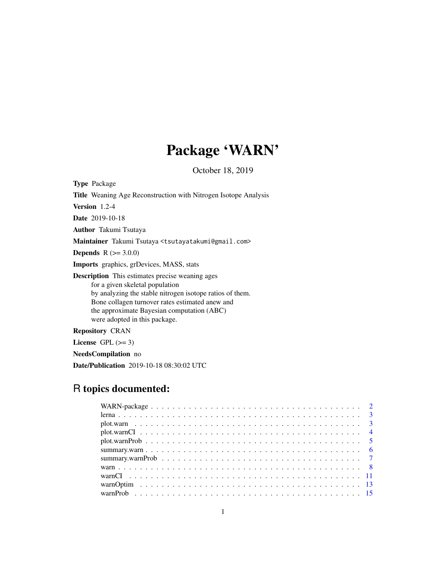# Package 'WARN'

October 18, 2019

<span id="page-0-0"></span>Type Package Title Weaning Age Reconstruction with Nitrogen Isotope Analysis Version 1.2-4 Date 2019-10-18 Author Takumi Tsutaya Maintainer Takumi Tsutaya <tsutayatakumi@gmail.com> **Depends**  $R (= 3.0.0)$ Imports graphics, grDevices, MASS, stats Description This estimates precise weaning ages for a given skeletal population by analyzing the stable nitrogen isotope ratios of them. Bone collagen turnover rates estimated anew and the approximate Bayesian computation (ABC) were adopted in this package.

Repository CRAN

License GPL  $(>= 3)$ 

NeedsCompilation no

Date/Publication 2019-10-18 08:30:02 UTC

# R topics documented: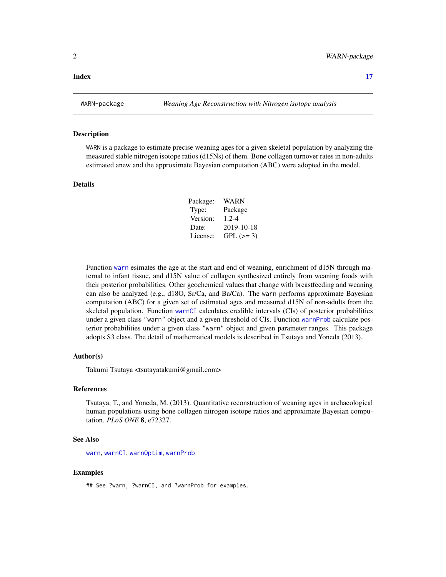### <span id="page-1-0"></span>**Index** [17](#page-16-0)

#### <span id="page-1-1"></span>**Description**

WARN is a package to estimate precise weaning ages for a given skeletal population by analyzing the measured stable nitrogen isotope ratios (d15Ns) of them. Bone collagen turnover rates in non-adults estimated anew and the approximate Bayesian computation (ABC) were adopted in the model.

#### Details

| Package: | WARN       |
|----------|------------|
| Type:    | Package    |
| Version: | $1.2 - 4$  |
| Date:    | 2019-10-18 |
| License: | $GPL (=3)$ |

Function [warn](#page-7-1) esimates the age at the start and end of weaning, enrichment of d15N through maternal to infant tissue, and d15N value of collagen synthesized entirely from weaning foods with their posterior probabilities. Other geochemical values that change with breastfeeding and weaning can also be analyzed (e.g., d18O, Sr/Ca, and Ba/Ca). The warn performs approximate Bayesian computation (ABC) for a given set of estimated ages and measured d15N of non-adults from the skeletal population. Function [warnCI](#page-10-1) calculates credible intervals (CIs) of posterior probabilities under a given class "warn" object and a given threshold of CIs. Function [warnProb](#page-14-1) calculate posterior probabilities under a given class "warn" object and given parameter ranges. This package adopts S3 class. The detail of mathematical models is described in Tsutaya and Yoneda (2013).

# Author(s)

Takumi Tsutaya <tsutayatakumi@gmail.com>

# References

Tsutaya, T., and Yoneda, M. (2013). Quantitative reconstruction of weaning ages in archaeological human populations using bone collagen nitrogen isotope ratios and approximate Bayesian computation. *PLoS ONE* 8, e72327.

#### See Also

[warn](#page-7-1), [warnCI](#page-10-1), [warnOptim](#page-12-1), [warnProb](#page-14-1)

# Examples

## See ?warn, ?warnCI, and ?warnProb for examples.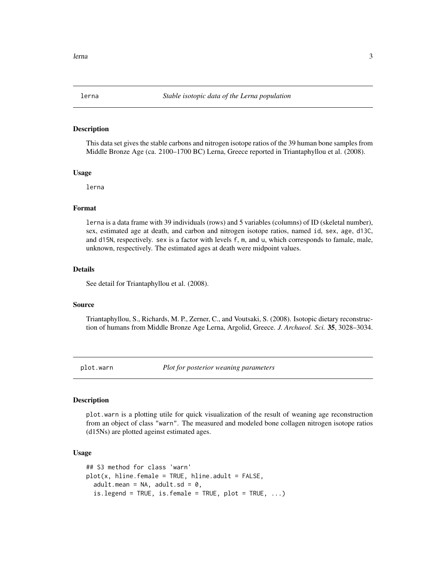<span id="page-2-0"></span>

#### **Description**

This data set gives the stable carbons and nitrogen isotope ratios of the 39 human bone samples from Middle Bronze Age (ca. 2100–1700 BC) Lerna, Greece reported in Triantaphyllou et al. (2008).

#### Usage

lerna

# Format

lerna is a data frame with 39 individuals (rows) and 5 variables (columns) of ID (skeletal number), sex, estimated age at death, and carbon and nitrogen isotope ratios, named id, sex, age, d13C, and d15N, respectively. sex is a factor with levels f, m, and u, which corresponds to famale, male, unknown, respectively. The estimated ages at death were midpoint values.

#### Details

See detail for Triantaphyllou et al. (2008).

#### Source

Triantaphyllou, S., Richards, M. P., Zerner, C., and Voutsaki, S. (2008). Isotopic dietary reconstruction of humans from Middle Bronze Age Lerna, Argolid, Greece. *J. Archaeol. Sci.* 35, 3028–3034.

<span id="page-2-1"></span>plot.warn *Plot for posterior weaning parameters*

# **Description**

plot.warn is a plotting utile for quick visualization of the result of weaning age reconstruction from an object of class "warn". The measured and modeled bone collagen nitrogen isotope ratios (d15Ns) are plotted ageinst estimated ages.

# Usage

```
## S3 method for class 'warn'
plot(x, hline.female = TRUE, hline.adult = FALSE,
  adult.mean = NA, adult.sd = 0,
  is.legend = TRUE, is.female = TRUE, plot = TRUE, \ldots)
```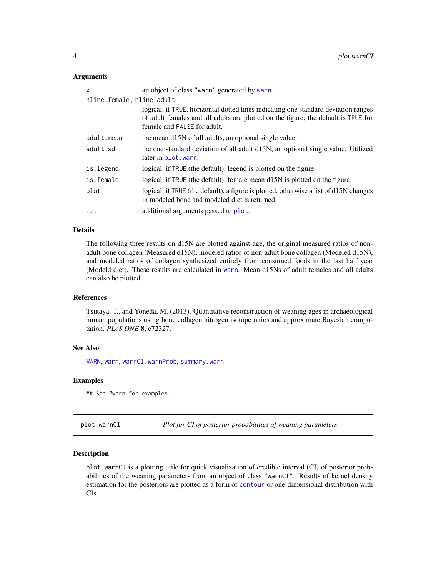### <span id="page-3-0"></span>Arguments

| x                         | an object of class "warn" generated by warn.                                                                                                                                                            |
|---------------------------|---------------------------------------------------------------------------------------------------------------------------------------------------------------------------------------------------------|
| hline.female, hline.adult |                                                                                                                                                                                                         |
|                           | logical; if TRUE, horizontal dotted lines indicating one standard deviation ranges<br>of adult females and all adults are plotted on the figure; the default is TRUE for<br>female and FALSE for adult. |
| adult.mean                | the mean d15N of all adults, an optional single value.                                                                                                                                                  |
| adult.sd                  | the one standard deviation of all adult d15N, an optional single value. Utilized<br>later in plot. warn.                                                                                                |
| is.legend                 | logical; if TRUE (the default), legend is plotted on the figure.                                                                                                                                        |
| is.female                 | logical; if TRUE (the default), female mean d15N is plotted on the figure.                                                                                                                              |
| plot                      | logical; if TRUE (the default), a figure is plotted, otherwise a list of d15N changes<br>in modeled bone and modeled diet is returned.                                                                  |
| $\cdots$                  | additional arguments passed to plot.                                                                                                                                                                    |

# Details

The following three results on d15N are plotted against age, the original measured ratios of nonadult bone collagen (Measured d15N), modeled ratios of non-adult bone collagen (Modeled d15N), and modeled ratios of collagen synthesized entirely from consumed foods in the last half year (Modeld diet). These results are calculated in [warn](#page-7-1). Mean d15Ns of adult females and all adults can also be plotted.

#### References

Tsutaya, T., and Yoneda, M. (2013). Quantitative reconstruction of weaning ages in archaeological human populations using bone collagen nitrogen isotope ratios and approximate Bayesian computation. *PLoS ONE* 8, e72327.

#### See Also

[WARN](#page-1-1), [warn](#page-7-1), [warnCI](#page-10-1), [warnProb](#page-14-1), [summary.warn](#page-5-1)

#### Examples

## See ?warn for examples.

<span id="page-3-1"></span>plot.warnCI *Plot for CI of posterior probabilities of weaning parameters*

#### Description

plot.warnCI is a plotting utile for quick visualization of credible interval (CI) of posterior probabilities of the weaning parameters from an object of class "warnCI". Results of kernel density estimation for the posteriors are plotted as a form of [contour](#page-0-0) or one-dimensional distribution with CIs.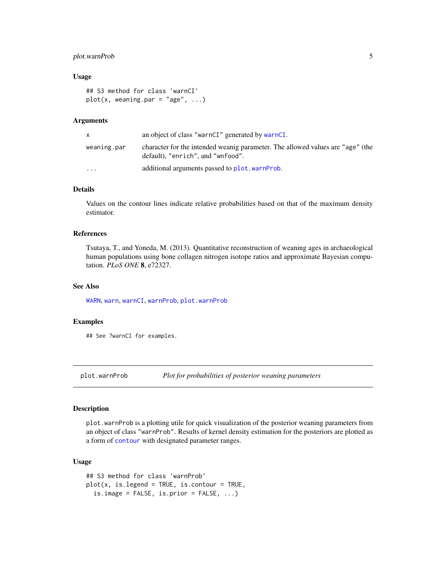# <span id="page-4-0"></span>plot.warnProb 5

#### Usage

```
## S3 method for class 'warnCI'
plot(x, weaning.par = "age", ...)
```
# Arguments

| X           | an object of class "warnCI" generated by warnCI.                                                                    |
|-------------|---------------------------------------------------------------------------------------------------------------------|
| weaning.par | character for the intended weanig parameter. The allowed values are "age" (the<br>default), "enrich", and "wnfood". |
| $\cdots$    | additional arguments passed to plot. warnProb.                                                                      |

# Details

Values on the contour lines indicate relative probabilities based on that of the maximum density estimator.

# References

Tsutaya, T., and Yoneda, M. (2013). Quantitative reconstruction of weaning ages in archaeological human populations using bone collagen nitrogen isotope ratios and approximate Bayesian computation. *PLoS ONE* 8, e72327.

#### See Also

[WARN](#page-1-1), [warn](#page-7-1), [warnCI](#page-10-1), [warnProb](#page-14-1), [plot.warnProb](#page-4-1)

# Examples

## See ?warnCI for examples.

<span id="page-4-1"></span>plot.warnProb *Plot for probabilities of posterior weaning parameters*

# Description

plot.warnProb is a plotting utile for quick visualization of the posterior weaning parameters from an object of class "warnProb". Results of kernel density estimation for the posteriors are plotted as a form of [contour](#page-0-0) with designated parameter ranges.

# Usage

```
## S3 method for class 'warnProb'
plot(x, is.legend = TRUE, is.contour = TRUE,
  is.image = FALSE, is.prior = FALSE, ...
```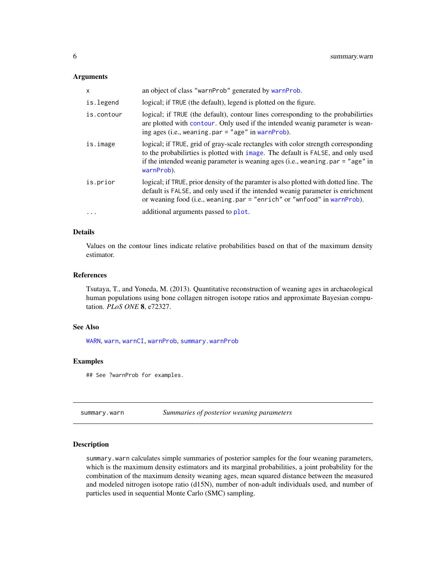# <span id="page-5-0"></span>Arguments

| x          | an object of class "warnProb" generated by warnProb.                                                                                                                                                                                                                   |
|------------|------------------------------------------------------------------------------------------------------------------------------------------------------------------------------------------------------------------------------------------------------------------------|
| is.legend  | logical; if TRUE (the default), legend is plotted on the figure.                                                                                                                                                                                                       |
| is.contour | logical; if TRUE (the default), contour lines corresponding to the probabilirties<br>are plotted with contour. Only used if the intended weanig parameter is wean-<br>ing ages (i.e., weaning.par = "age" in warnProb).                                                |
| is.image   | logical; if TRUE, grid of gray-scale rectangles with color strength corresponding<br>to the probabilirties is plotted with image. The default is FALSE, and only used<br>if the intended weanig parameter is weaning ages (i.e., weaning .par = "age" in<br>warnProb). |
| is.prior   | logical; if TRUE, prior density of the paramter is also plotted with dotted line. The<br>default is FALSE, and only used if the intended weanig parameter is enrichment<br>or weaning food (i.e., weaning.par = "enrich" or "wnfood" in warnProb).                     |
| .          | additional arguments passed to plot.                                                                                                                                                                                                                                   |

# Details

Values on the contour lines indicate relative probabilities based on that of the maximum density estimator.

#### References

Tsutaya, T., and Yoneda, M. (2013). Quantitative reconstruction of weaning ages in archaeological human populations using bone collagen nitrogen isotope ratios and approximate Bayesian computation. *PLoS ONE* 8, e72327.

# See Also

[WARN](#page-1-1), [warn](#page-7-1), [warnCI](#page-10-1), [warnProb](#page-14-1), [summary.warnProb](#page-6-1)

#### Examples

## See ?warnProb for examples.

<span id="page-5-1"></span>summary.warn *Summaries of posterior weaning parameters*

# Description

summary.warn calculates simple summaries of posterior samples for the four weaning parameters, which is the maximum density estimators and its marginal probabilities, a joint probability for the combination of the maximum density weaning ages, mean squared distance between the measured and modeled nitrogen isotope ratio (d15N), number of non-adult individuals used, and number of particles used in sequential Monte Carlo (SMC) sampling.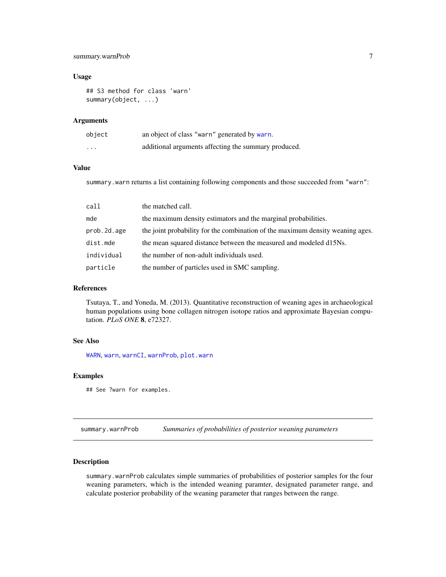# <span id="page-6-0"></span>summary.warnProb 7

### Usage

```
## S3 method for class 'warn'
summary(object, ...)
```
# Arguments

| object   | an object of class "warn" generated by warn.         |
|----------|------------------------------------------------------|
| $\cdots$ | additional arguments affecting the summary produced. |

# Value

summary.warn returns a list containing following components and those succeeded from "warn":

| call        | the matched call.                                                              |
|-------------|--------------------------------------------------------------------------------|
| mde         | the maximum density estimators and the marginal probabilities.                 |
| prob.2d.age | the joint probability for the combination of the maximum density weaning ages. |
| dist.mde    | the mean squared distance between the measured and modeled d15Ns.              |
| individual  | the number of non-adult individuals used.                                      |
| particle    | the number of particles used in SMC sampling.                                  |

# References

Tsutaya, T., and Yoneda, M. (2013). Quantitative reconstruction of weaning ages in archaeological human populations using bone collagen nitrogen isotope ratios and approximate Bayesian computation. *PLoS ONE* 8, e72327.

# See Also

[WARN](#page-1-1), [warn](#page-7-1), [warnCI](#page-10-1), [warnProb](#page-14-1), [plot.warn](#page-2-1)

#### Examples

## See ?warn for examples.

<span id="page-6-1"></span>summary.warnProb *Summaries of probabilities of posterior weaning parameters*

# Description

summary.warnProb calculates simple summaries of probabilities of posterior samples for the four weaning parameters, which is the intended weaning paramter, designated parameter range, and calculate posterior probability of the weaning parameter that ranges between the range.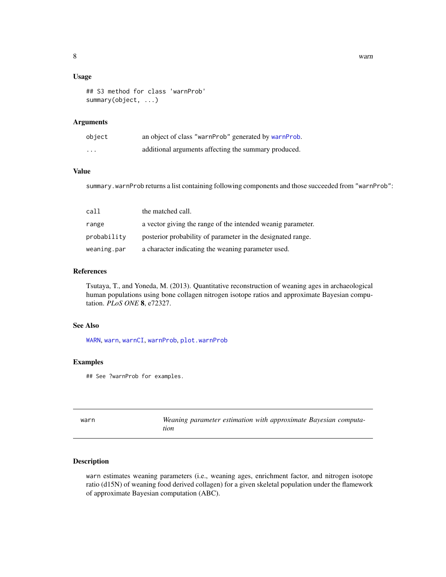# <span id="page-7-0"></span>Usage

## S3 method for class 'warnProb' summary(object, ...)

# Arguments

| object   | an object of class "warnProb" generated by warnProb. |
|----------|------------------------------------------------------|
| $\cdots$ | additional arguments affecting the summary produced. |

# Value

summary.warnProb returns a list containing following components and those succeeded from "warnProb":

| call        | the matched call.                                           |
|-------------|-------------------------------------------------------------|
| range       | a vector giving the range of the intended weanig parameter. |
| probability | posterior probability of parameter in the designated range. |
| weaning.par | a character indicating the weaning parameter used.          |

#### References

Tsutaya, T., and Yoneda, M. (2013). Quantitative reconstruction of weaning ages in archaeological human populations using bone collagen nitrogen isotope ratios and approximate Bayesian computation. *PLoS ONE* 8, e72327.

# See Also

[WARN](#page-1-1), [warn](#page-7-1), [warnCI](#page-10-1), [warnProb](#page-14-1), [plot.warnProb](#page-4-1)

# Examples

## See ?warnProb for examples.

<span id="page-7-1"></span>

| warn | Weaning parameter estimation with approximate Bayesian computa- |  |  |  |
|------|-----------------------------------------------------------------|--|--|--|
|      | tion                                                            |  |  |  |

# Description

warn estimates weaning parameters (i.e., weaning ages, enrichment factor, and nitrogen isotope ratio (d15N) of weaning food derived collagen) for a given skeletal population under the flamework of approximate Bayesian computation (ABC).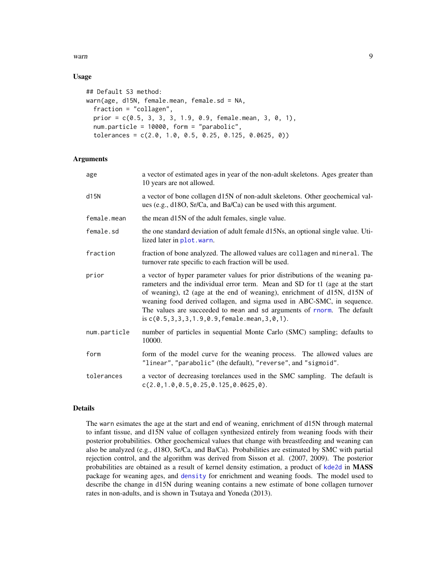<span id="page-8-0"></span>warn 9

# Usage

```
## Default S3 method:
warn(age, d15N, female.mean, female.sd = NA,
 fraction = "collagen",
 prior = c(0.5, 3, 3, 3, 1.9, 0.9, female.mean, 3, 0, 1),
 num.particle = 10000, form = "parabolic",
  tolerances = c(2.0, 1.0, 0.5, 0.25, 0.125, 0.0625, 0))
```
# Arguments

| age          | a vector of estimated ages in year of the non-adult skeletons. Ages greater than<br>10 years are not allowed.                                                                                                                                                                                                                                                                                                                                               |  |  |
|--------------|-------------------------------------------------------------------------------------------------------------------------------------------------------------------------------------------------------------------------------------------------------------------------------------------------------------------------------------------------------------------------------------------------------------------------------------------------------------|--|--|
| d15N         | a vector of bone collagen d15N of non-adult skeletons. Other geochemical val-<br>ues (e.g., d18O, Sr/Ca, and Ba/Ca) can be used with this argument.                                                                                                                                                                                                                                                                                                         |  |  |
| female.mean  | the mean d15N of the adult females, single value.                                                                                                                                                                                                                                                                                                                                                                                                           |  |  |
| female.sd    | the one standard deviation of adult female d15Ns, an optional single value. Uti-<br>lized later in plot. warn.                                                                                                                                                                                                                                                                                                                                              |  |  |
| fraction     | fraction of bone analyzed. The allowed values are collagen and mineral. The<br>turnover rate specific to each fraction will be used.                                                                                                                                                                                                                                                                                                                        |  |  |
| prior        | a vector of hyper parameter values for prior distributions of the weaning pa-<br>rameters and the individual error term. Mean and SD for t1 (age at the start<br>of weaning), t2 (age at the end of weaning), enrichment of d15N, d15N of<br>weaning food derived collagen, and sigma used in ABC-SMC, in sequence.<br>The values are succeeded to mean and sd arguments of rnorm. The default<br>is $c(0.5, 3, 3, 3, 1.9, 0.9,$ female. mean, $3, 0, 1$ ). |  |  |
| num.particle | number of particles in sequential Monte Carlo (SMC) sampling; defaults to<br>10000.                                                                                                                                                                                                                                                                                                                                                                         |  |  |
| form         | form of the model curve for the weaning process. The allowed values are<br>"linear", "parabolic" (the default), "reverse", and "sigmoid".                                                                                                                                                                                                                                                                                                                   |  |  |
| tolerances   | a vector of decreasing torelances used in the SMC sampling. The default is<br>$c(2.0, 1.0, 0.5, 0.25, 0.125, 0.0625, 0).$                                                                                                                                                                                                                                                                                                                                   |  |  |

# Details

The warn esimates the age at the start and end of weaning, enrichment of d15N through maternal to infant tissue, and d15N value of collagen synthesized entirely from weaning foods with their posterior probabilities. Other geochemical values that change with breastfeeding and weaning can also be analyzed (e.g., d18O, Sr/Ca, and Ba/Ca). Probabilities are estimated by SMC with partial rejection control, and the algorithm was derived from Sisson et al. (2007, 2009). The posterior probabilities are obtained as a result of kernel density estimation, a product of [kde2d](#page-0-0) in MASS package for weaning ages, and [density](#page-0-0) for enrichment and weaning foods. The model used to describe the change in d15N during weaning contains a new estimate of bone collagen turnover rates in non-adults, and is shown in Tsutaya and Yoneda (2013).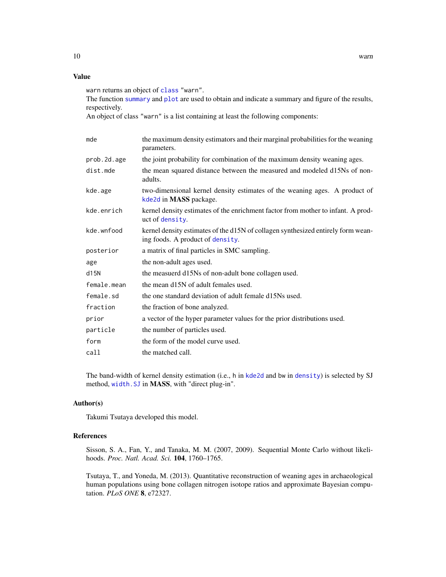# <span id="page-9-0"></span>Value

warn returns an object of [class](#page-0-0) "warn".

The function [summary](#page-0-0) and [plot](#page-0-0) are used to obtain and indicate a summary and figure of the results, respectively.

An object of class "warn" is a list containing at least the following components:

| mde         | the maximum density estimators and their marginal probabilities for the weaning<br>parameters.                       |
|-------------|----------------------------------------------------------------------------------------------------------------------|
| prob.2d.age | the joint probability for combination of the maximum density weaning ages.                                           |
| dist.mde    | the mean squared distance between the measured and modeled d15Ns of non-<br>adults.                                  |
| kde.age     | two-dimensional kernel density estimates of the weaning ages. A product of<br>kde2d in MASS package.                 |
| kde.enrich  | kernel density estimates of the enrichment factor from mother to infant. A prod-<br>uct of density.                  |
| kde.wnfood  | kernel density estimates of the d15N of collagen synthesized entirely form wean-<br>ing foods. A product of density. |
| posterior   | a matrix of final particles in SMC sampling.                                                                         |
| age         | the non-adult ages used.                                                                                             |
| d15N        | the measuerd d15Ns of non-adult bone collagen used.                                                                  |
| female.mean | the mean d15N of adult females used.                                                                                 |
| female.sd   | the one standard deviation of adult female d15Ns used.                                                               |
| fraction    | the fraction of bone analyzed.                                                                                       |
| prior       | a vector of the hyper parameter values for the prior distributions used.                                             |
| particle    | the number of particles used.                                                                                        |
| form        | the form of the model curve used.                                                                                    |
| call        | the matched call.                                                                                                    |

The band-width of kernel density estimation (i.e., h in [kde2d](#page-0-0) and bw in [density](#page-0-0)) is selected by SJ method, [width.SJ](#page-0-0) in MASS, with "direct plug-in".

# Author(s)

Takumi Tsutaya developed this model.

# References

Sisson, S. A., Fan, Y., and Tanaka, M. M. (2007, 2009). Sequential Monte Carlo without likelihoods. *Proc. Natl. Acad. Sci.* 104, 1760–1765.

Tsutaya, T., and Yoneda, M. (2013). Quantitative reconstruction of weaning ages in archaeological human populations using bone collagen nitrogen isotope ratios and approximate Bayesian computation. *PLoS ONE* 8, e72327.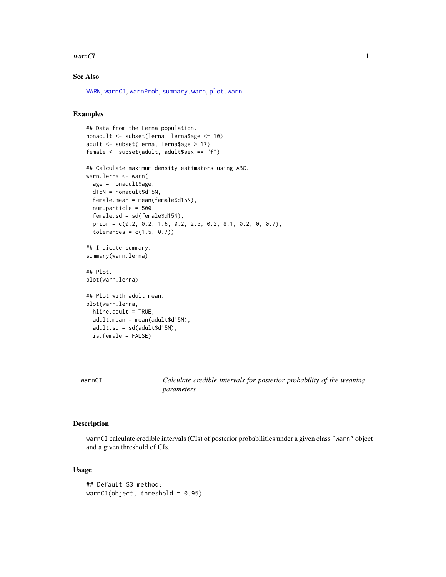#### <span id="page-10-0"></span>warnCI 11

# See Also

[WARN](#page-1-1), [warnCI](#page-10-1), [warnProb](#page-14-1), [summary.warn](#page-5-1), [plot.warn](#page-2-1)

# Examples

```
## Data from the Lerna population.
nonadult <- subset(lerna, lerna$age <= 10)
adult <- subset(lerna, lerna$age > 17)
female <- subset(adult, adult$sex == "f")
## Calculate maximum density estimators using ABC.
warn.lerna <- warn(
  age = nonadult$age,
  d15N = nonadult$d15N,female.mean = mean(female$d15N),
  num.particle = 500,
  female.sd = sd(female$d15N),
  prior = c(0.2, 0.2, 1.6, 0.2, 2.5, 0.2, 8.1, 0.2, 0, 0.7),
  tolerances = c(1.5, 0.7)## Indicate summary.
summary(warn.lerna)
## Plot.
plot(warn.lerna)
## Plot with adult mean.
plot(warn.lerna,
  hline.adult = TRUE,
  adult.mean = mean(adult$d15N),
  adult.sd = sd(adult$d15N),
```
is.female = FALSE)

<span id="page-10-1"></span>warnCI *Calculate credible intervals for posterior probability of the weaning parameters*

### Description

warnCI calculate credible intervals (CIs) of posterior probabilities under a given class "warn" object and a given threshold of CIs.

#### Usage

```
## Default S3 method:
warnCI(object, threshold = 0.95)
```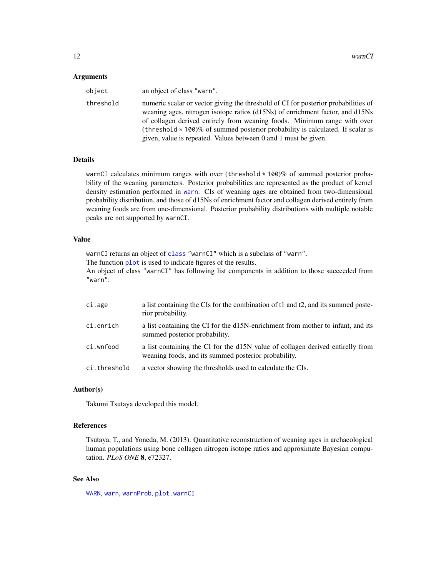#### <span id="page-11-0"></span>Arguments

| object    | an object of class "warn".                                                                                                                                                                                                                                                                                                                                                                             |
|-----------|--------------------------------------------------------------------------------------------------------------------------------------------------------------------------------------------------------------------------------------------------------------------------------------------------------------------------------------------------------------------------------------------------------|
| threshold | numeric scalar or vector giving the threshold of CI for posterior probabilities of<br>weaning ages, nitrogen isotope ratios (d15Ns) of enrichment factor, and d15Ns<br>of collagen derived entirely from weaning foods. Minimum range with over<br>(threshold $*$ 100)% of summed posterior probability is calculated. If scalar is<br>given, value is repeated. Values between 0 and 1 must be given. |

# Details

warnCI calculates minimum ranges with over (threshold  $*100%$  of summed posterior probability of the weaning parameters. Posterior probabilities are represented as the product of kernel density estimation performed in [warn](#page-7-1). CIs of weaning ages are obtained from two-dimensional probability distribution, and those of d15Ns of enrichment factor and collagen derived entirely from weaning foods are from one-dimensional. Posterior probability distributions with multiple notable peaks are not supported by warnCI.

# Value

warnCI returns an object of [class](#page-0-0) "warnCI" which is a subclass of "warn". The function [plot](#page-0-0) is used to indicate figures of the results. An object of class "warnCI" has following list components in addition to those succeeded from "warn":

| ci.age       | a list containing the CIs for the combination of 11 and 12, and its summed poste-<br>rior probability.                                 |
|--------------|----------------------------------------------------------------------------------------------------------------------------------------|
| ci.enrich    | a list containing the CI for the d15N-enrichment from mother to infant, and its<br>summed posterior probability.                       |
| ci.wnfood    | a list containing the CI for the d15N value of collagen derived entirelly from<br>weaning foods, and its summed posterior probability. |
| ci.threshold | a vector showing the thresholds used to calculate the CIs.                                                                             |

# Author(s)

Takumi Tsutaya developed this model.

# References

Tsutaya, T., and Yoneda, M. (2013). Quantitative reconstruction of weaning ages in archaeological human populations using bone collagen nitrogen isotope ratios and approximate Bayesian computation. *PLoS ONE* 8, e72327.

## See Also

[WARN](#page-1-1), [warn](#page-7-1), [warnProb](#page-14-1), [plot.warnCI](#page-3-1)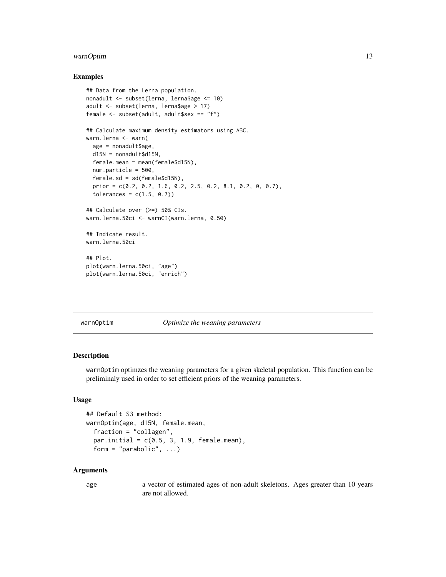# <span id="page-12-0"></span>warnOptim 13

# Examples

```
## Data from the Lerna population.
nonadult <- subset(lerna, lerna$age <= 10)
adult <- subset(lerna, lerna$age > 17)
female <- subset(adult, adult$sex == "f")
## Calculate maximum density estimators using ABC.
warn.lerna <- warn(
  age = nonadult$age,
  d15N = nonadult$d15N,female.mean = mean(female$d15N),
  num.particle = 500,
  female.sd = sd(female$d15N),
  prior = c(0.2, 0.2, 1.6, 0.2, 2.5, 0.2, 8.1, 0.2, 0, 0.7),
  tolerances = c(1.5, 0.7)## Calculate over (>=) 50% CIs.
warn.lerna.50ci <- warnCI(warn.lerna, 0.50)
## Indicate result.
warn.lerna.50ci
## Plot.
plot(warn.lerna.50ci, "age")
plot(warn.lerna.50ci, "enrich")
```
<span id="page-12-1"></span>warnOptim *Optimize the weaning parameters*

# **Description**

warnOptim optimzes the weaning parameters for a given skeletal population. This function can be preliminaly used in order to set efficient priors of the weaning parameters.

# Usage

```
## Default S3 method:
warnOptim(age, d15N, female.mean,
  fraction = "collagen",
  par.initial = c(0.5, 3, 1.9, female.mean),
  form = "parabolic", \ldots)
```
# Arguments

age a vector of estimated ages of non-adult skeletons. Ages greater than 10 years are not allowed.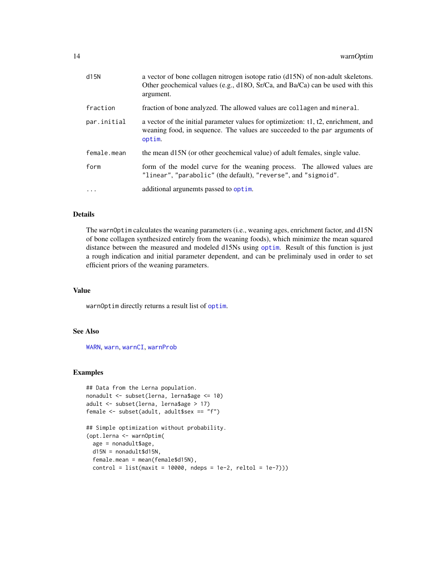<span id="page-13-0"></span>

| d15N        | a vector of bone collagen nitrogen isotope ratio (d15N) of non-adult skeletons.<br>Other geochemical values (e.g., d18O, Sr/Ca, and Ba/Ca) can be used with this<br>argument. |
|-------------|-------------------------------------------------------------------------------------------------------------------------------------------------------------------------------|
| fraction    | fraction of bone analyzed. The allowed values are collagen and mineral.                                                                                                       |
| par.initial | a vector of the initial parameter values for optimizetion: t1, t2, enrichment, and<br>weaning food, in sequence. The values are succeeded to the par arguments of<br>optim.   |
| female.mean | the mean d15N (or other geochemical value) of adult females, single value.                                                                                                    |
| form        | form of the model curve for the weaning process. The allowed values are<br>"linear", "parabolic" (the default), "reverse", and "sigmoid".                                     |
| $\ddots$    | additional argunemts passed to optim.                                                                                                                                         |

# Details

The warnOptim calculates the weaning parameters (i.e., weaning ages, enrichment factor, and d15N of bone collagen synthesized entirely from the weaning foods), which minimize the mean squared distance between the measured and modeled d15Ns using [optim](#page-0-0). Result of this function is just a rough indication and initial parameter dependent, and can be preliminaly used in order to set efficient priors of the weaning parameters.

#### Value

warnOptim directly returns a result list of [optim](#page-0-0).

#### See Also

[WARN](#page-1-1), [warn](#page-7-1), [warnCI](#page-10-1), [warnProb](#page-14-1)

# Examples

```
## Data from the Lerna population.
nonadult <- subset(lerna, lerna$age <= 10)
adult <- subset(lerna, lerna$age > 17)
female <- subset(adult, adult$sex == "f")
## Simple optimization without probability.
(opt.lerna <- warnOptim(
 age = nonadult$age,
 d15N = nonadult$d15N,female.mean = mean(female$d15N),
 control = list(maxit = 10000, ndeps = 1e-2, reltol = 1e-7)))
```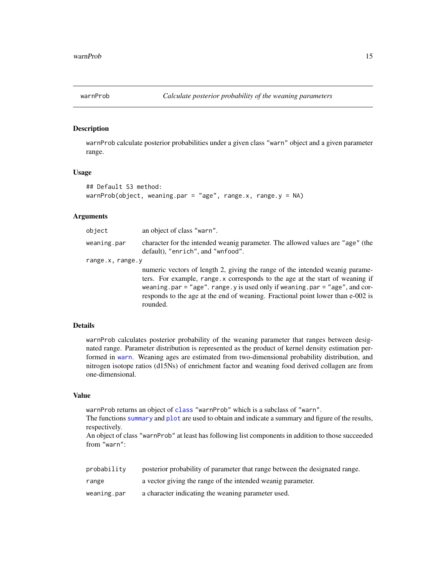<span id="page-14-1"></span><span id="page-14-0"></span>

# Description

warnProb calculate posterior probabilities under a given class "warn" object and a given parameter range.

#### Usage

```
## Default S3 method:
warnProb(object, weaning.par = "age", range.x, range.y = NA)
```
# Arguments

| object           | an object of class "warn".                                                                                                                                                                                                                                                                                                                |
|------------------|-------------------------------------------------------------------------------------------------------------------------------------------------------------------------------------------------------------------------------------------------------------------------------------------------------------------------------------------|
| weaning.par      | character for the intended weanig parameter. The allowed values are "age" (the<br>default), "enrich", and "wnfood".                                                                                                                                                                                                                       |
| range.x, range.y | numeric vectors of length 2, giving the range of the intended weanig parame-<br>ters. For example, range x corresponds to the age at the start of weaning if<br>weaning.par = "age". range.y is used only if weaning.par = "age", and cor-<br>responds to the age at the end of weaning. Fractional point lower than e-002 is<br>rounded. |

# Details

warnProb calculates posterior probability of the weaning parameter that ranges between designated range. Parameter distribution is represented as the product of kernel density estimation performed in [warn](#page-7-1). Weaning ages are estimated from two-dimensional probability distribution, and nitrogen isotope ratios (d15Ns) of enrichment factor and weaning food derived collagen are from one-dimensional.

#### Value

warnProb returns an object of [class](#page-0-0) "warnProb" which is a subclass of "warn".

The functions [summary](#page-0-0) and [plot](#page-0-0) are used to obtain and indicate a summary and figure of the results, respectively.

An object of class "warnProb" at least has following list components in addition to those succeeded from "warn":

| probability | posterior probability of parameter that range between the designated range. |
|-------------|-----------------------------------------------------------------------------|
| range       | a vector giving the range of the intended weanig parameter.                 |
| weaning.par | a character indicating the weaning parameter used.                          |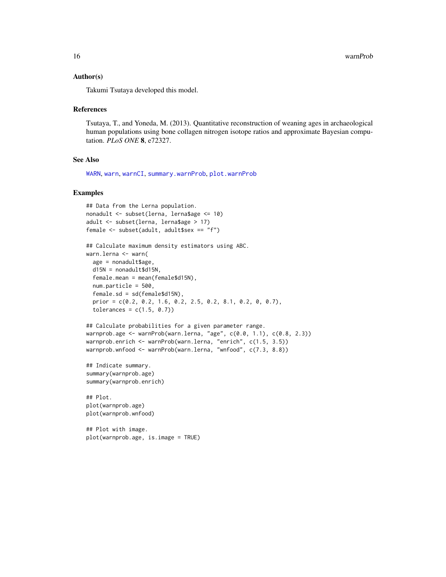# <span id="page-15-0"></span>Author(s)

Takumi Tsutaya developed this model.

#### References

Tsutaya, T., and Yoneda, M. (2013). Quantitative reconstruction of weaning ages in archaeological human populations using bone collagen nitrogen isotope ratios and approximate Bayesian computation. *PLoS ONE* 8, e72327.

# See Also

[WARN](#page-1-1), [warn](#page-7-1), [warnCI](#page-10-1), [summary.warnProb](#page-6-1), [plot.warnProb](#page-4-1)

# Examples

```
## Data from the Lerna population.
nonadult <- subset(lerna, lerna$age <= 10)
adult <- subset(lerna, lerna$age > 17)
female <- subset(adult, adult$sex == "f")
## Calculate maximum density estimators using ABC.
warn.lerna <- warn(
  age = nonadult$age,
  d15N = nonadult$d15N,female.mean = mean(female$d15N),
  num.particle = 500,
  female.sd = sd(female$d15N),
  prior = c(0.2, 0.2, 1.6, 0.2, 2.5, 0.2, 8.1, 0.2, 0, 0.7),
  tolerances = c(1.5, 0.7)## Calculate probabilities for a given parameter range.
warnprob.age <- warnProb(warn.lerna, "age", c(0.0, 1.1), c(0.8, 2.3))
warnprob.enrich <- warnProb(warn.lerna, "enrich", c(1.5, 3.5))
warnprob.wnfood <- warnProb(warn.lerna, "wnfood", c(7.3, 8.8))
## Indicate summary.
summary(warnprob.age)
summary(warnprob.enrich)
## Plot.
plot(warnprob.age)
plot(warnprob.wnfood)
## Plot with image.
plot(warnprob.age, is.image = TRUE)
```